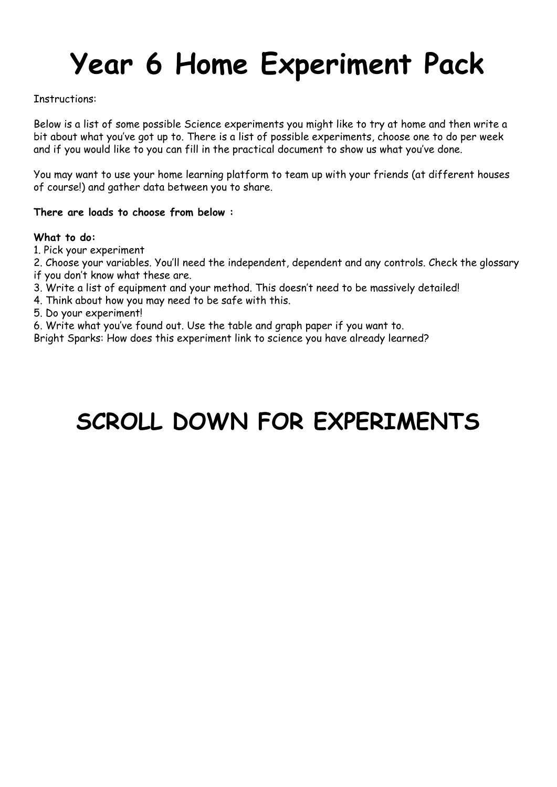## **Year 6 Home Experiment Pack**

Instructions:

Below is a list of some possible Science experiments you might like to try at home and then write a bit about what you've got up to. There is a list of possible experiments, choose one to do per week and if you would like to you can fill in the practical document to show us what you've done.

You may want to use your home learning platform to team up with your friends (at different houses of course!) and gather data between you to share.

## **There are loads to choose from below :**

## **What to do:**

1. Pick your experiment

2. Choose your variables. You'll need the independent, dependent and any controls. Check the glossary

- if you don't know what these are.
- 3. Write a list of equipment and your method. This doesn't need to be massively detailed!
- 4. Think about how you may need to be safe with this.

5. Do your experiment!

6. Write what you've found out. Use the table and graph paper if you want to.

Bright Sparks: How does this experiment link to science you have already learned?

## **SCROLL DOWN FOR EXPERIMENTS**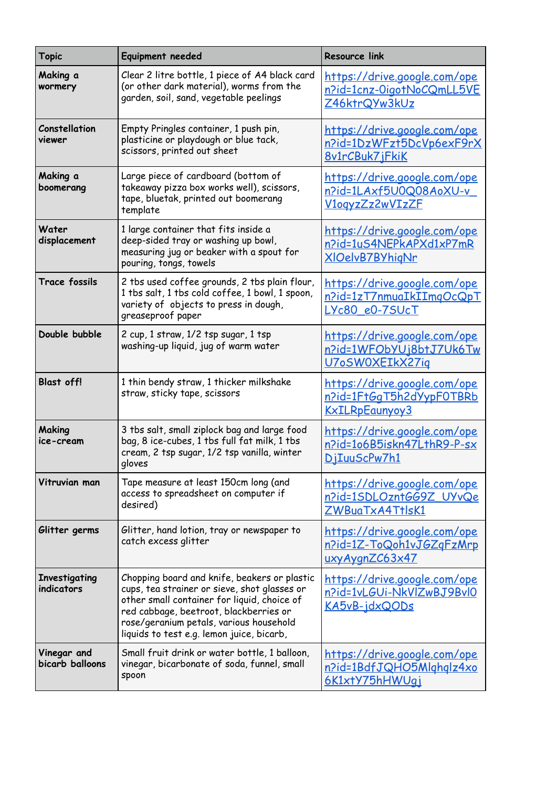| <b>Topic</b>                       | Equipment needed                                                                                                                                                                                                                                                              | <b>Resource link</b>                                                                      |
|------------------------------------|-------------------------------------------------------------------------------------------------------------------------------------------------------------------------------------------------------------------------------------------------------------------------------|-------------------------------------------------------------------------------------------|
| Making a<br>wormery                | Clear 2 litre bottle, 1 piece of A4 black card<br>(or other dark material), worms from the<br>garden, soil, sand, vegetable peelings                                                                                                                                          | <u>https://drive.google.com/ope</u><br>n?id=1cnz-OigotNoCQmLL5VE<br>Z46ktrQYw3kUz         |
| Constellation<br>viewer            | Empty Pringles container, 1 push pin,<br>plasticine or playdough or blue tack,<br>scissors, printed out sheet                                                                                                                                                                 | <u> https://drive.google.com/ope</u><br>n?id=1DzWFzt5DcVp6exF9rX<br>8v1rCBuk7iFkiK        |
| Making a<br>boomerang              | Large piece of cardboard (bottom of<br>takeaway pizza box works well), scissors,<br>tape, bluetak, printed out boomerang<br>template                                                                                                                                          | <u> https://drive.google.com/ope</u><br><u>n?id=1LAxf5U0Q08AoXU-v</u><br>V1ogyzZz2wVIzZF  |
| Water<br>displacement              | 1 large container that fits inside a<br>deep-sided tray or washing up bowl,<br>measuring jug or beaker with a spout for<br>pouring, tongs, towels                                                                                                                             | <u> https://drive.google.com/ope</u><br>n?id=1uS4NEPkAPXd1xP7mR<br>XIOelvB7BYhigNr        |
| <b>Trace fossils</b>               | 2 tbs used coffee grounds, 2 tbs plain flour,<br>1 tbs salt, 1 tbs cold coffee, 1 bowl, 1 spoon,<br>variety of objects to press in dough,<br>greaseproof paper                                                                                                                | https://drive.google.com/ope<br>n?id=1zT7nmuaIkIImgOcQpT<br>LYc80 e0-7SUcT                |
| Double bubble                      | 2 cup, 1 straw, 1/2 tsp sugar, 1 tsp<br>washing-up liquid, jug of warm water                                                                                                                                                                                                  | https://drive.google.com/ope<br>n?id=1WFObYUj8btJ7Uk6Tw<br>U7oSW0XEIkX27ig                |
| <b>Blast off!</b>                  | 1 thin bendy straw, 1 thicker milkshake<br>straw, sticky tape, scissors                                                                                                                                                                                                       | <u>https://drive.google.com/ope</u><br>n?id=1FtGgT5h2dYypF0TBRb<br>KxILRpEaunvov3         |
| Making<br>ice-cream                | 3 tbs salt, small ziplock bag and large food<br>bag, 8 ice-cubes, 1 tbs full fat milk, 1 tbs<br>cream, 2 tsp sugar, 1/2 tsp vanilla, winter<br>gloves                                                                                                                         | <u> https://drive.google.com/ope</u><br>n?id=106B5iskn47LthR9-P-sx<br>DiIuuScPw7h1        |
| Vitruvian man                      | Tape measure at least 150cm long (and<br>access to spreadsheet on computer if<br>desired)                                                                                                                                                                                     | https://drive.google.com/ope<br>n?id=1SDLOzntGG9Z UYvQe<br>ZWBuaTxA4TtlsK1                |
| Glitter germs                      | Glitter, hand lotion, tray or newspaper to<br>catch excess glitter                                                                                                                                                                                                            | <u> https://drive.google.com/ope</u><br><u>n?id=1Z-ToQoh1vJGZqFzMrp</u><br>uxyAygnZC63x47 |
| <b>Investigating</b><br>indicators | Chopping board and knife, beakers or plastic<br>cups, tea strainer or sieve, shot glasses or<br>other small container for liquid, choice of<br>red cabbage, beetroot, blackberries or<br>rose/geranium petals, various household<br>liquids to test e.g. lemon juice, bicarb, | <u> https://drive.google.com/ope</u><br>n?id=1vLGUi-NkVlZwBJ9Bvl0<br><u>KA5vB-jdxQODs</u> |
| Vinegar and<br>bicarb balloons     | Small fruit drink or water bottle, 1 balloon,<br>vinegar, bicarbonate of soda, funnel, small<br>spoon                                                                                                                                                                         | https://drive.google.com/ope<br>n?id=1BdfJQHO5Mlghglz4xo<br>6K1xtY75hHWUqj                |